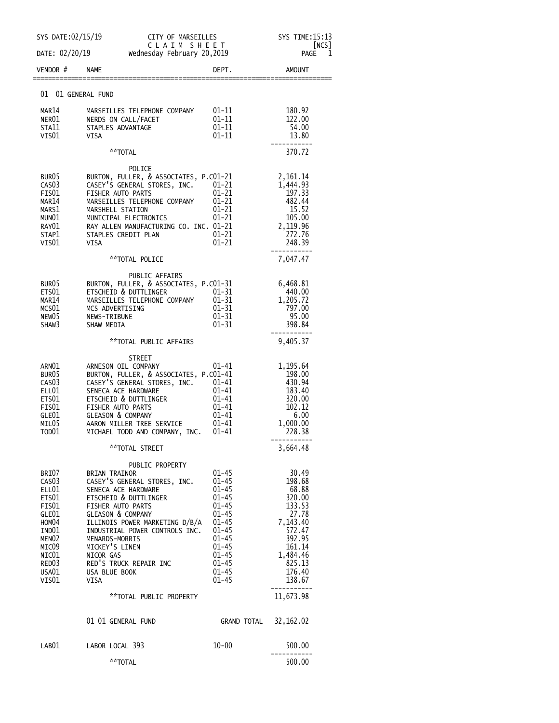|                                                                                                                                                     | SYS DATE:02/15/19<br>CITY OF MARSEILLES                                                                                                                                                                                       |                                                                                                                                                            | SYS TIME:15:13                                                                                                                                                                     |                                                                                                                                           |  |
|-----------------------------------------------------------------------------------------------------------------------------------------------------|-------------------------------------------------------------------------------------------------------------------------------------------------------------------------------------------------------------------------------|------------------------------------------------------------------------------------------------------------------------------------------------------------|------------------------------------------------------------------------------------------------------------------------------------------------------------------------------------|-------------------------------------------------------------------------------------------------------------------------------------------|--|
| DATE: 02/20/19                                                                                                                                      |                                                                                                                                                                                                                               | CLAIM SHEET<br>Wednesday February 20,2019                                                                                                                  |                                                                                                                                                                                    | [NCS]<br>PAGE<br>1                                                                                                                        |  |
| VENDOR #                                                                                                                                            | <b>NAME</b>                                                                                                                                                                                                                   |                                                                                                                                                            | DEPT.                                                                                                                                                                              | <b>AMOUNT</b>                                                                                                                             |  |
| 01 01 GENERAL FUND                                                                                                                                  |                                                                                                                                                                                                                               |                                                                                                                                                            |                                                                                                                                                                                    |                                                                                                                                           |  |
| MAR14<br>NER01<br>STA11<br>VIS01                                                                                                                    | NERDS ON CALL/FACET<br>STAPLES ADVANTAGE<br>VISA                                                                                                                                                                              | MARSEILLES TELEPHONE COMPANY                                                                                                                               | $01 - 11$<br>01-11<br>01-11<br>$01 - 11$                                                                                                                                           | 180.92<br>122.00<br>54.00<br>13.80                                                                                                        |  |
|                                                                                                                                                     | **TOTAL                                                                                                                                                                                                                       |                                                                                                                                                            |                                                                                                                                                                                    | 370.72                                                                                                                                    |  |
| BUR <sub>05</sub><br>CAS <sub>03</sub><br>FIS01<br>MAR14<br>MARS1<br>MUNO1<br>RAY01<br>STAP1<br>VIS01                                               | FISHER AUTO PARTS<br>MARSHELL STATION<br>MUNICIPAL ELECTRONICS<br>STAPLES CREDIT PLAN<br>VISA                                                                                                                                 | POLICE<br>BURTON, FULLER, & ASSOCIATES, P.CO1-21<br>CASEY'S GENERAL STORES, INC.<br>MARSEILLES TELEPHONE COMPANY<br>RAY ALLEN MANUFACTURING CO. INC. 01-21 | $01 - 21$<br>$01 - 21$<br>$01 - 21$<br>$01 - 21$<br>$01 - 21$<br>$01 - 21$<br>$01 - 21$                                                                                            | 2,161.14<br>1,444.93<br>197.33<br>482.44<br>15.52<br>105.00<br>2,119.96<br>272.76<br>248.39                                               |  |
|                                                                                                                                                     |                                                                                                                                                                                                                               | **TOTAL POLICE                                                                                                                                             |                                                                                                                                                                                    | 7,047.47                                                                                                                                  |  |
| BUR <sub>05</sub><br>ETS01<br>MAR14<br>MCS01<br>NEW <sub>05</sub><br>SHAW3                                                                          | ETSCHEID & DUTTLINGER<br>MCS ADVERTISING<br>NEWS-TRIBUNE<br>SHAW MEDIA                                                                                                                                                        | PUBLIC AFFAIRS<br>BURTON, FULLER, & ASSOCIATES, P.CO1-31<br>MARSEILLES TELEPHONE COMPANY                                                                   | $01 - 31$<br>$01 - 31$<br>$01 - 31$<br>$01 - 31$<br>$01 - 31$                                                                                                                      | 6,468.81<br>440.00<br>1,205.72<br>797.00<br>95.00<br>398.84                                                                               |  |
|                                                                                                                                                     |                                                                                                                                                                                                                               | **TOTAL PUBLIC AFFAIRS                                                                                                                                     |                                                                                                                                                                                    | 9,405.37                                                                                                                                  |  |
| ARN01<br>BUR <sub>05</sub><br>CAS <sub>03</sub><br>ELL01<br>ETS01<br>FIS01<br>GLE01<br>MILO5<br>TOD01                                               | ARNESON OIL COMPANY<br>SENECA ACE HARDWARE<br><b>ETSCHEID &amp; DUTTLINGER</b><br>FISHER AUTO PARTS<br><b>GLEASON &amp; COMPANY</b><br>AARON MILLER TREE SERVICE                                                              | STREET<br>BURTON, FULLER, & ASSOCIATES, P.CO1-41<br>CASEY'S GENERAL STORES, INC.<br>MICHAEL TODD AND COMPANY, INC.                                         | 01-41<br>$01 - 41$<br>01-41<br>$01 - 41$<br>$01 - 41$<br>01-41<br>01-41<br>$01 - 41$                                                                                               | 1,195.64<br>198.00<br>430.94<br>183.40<br>320.00<br>102.12<br>6.00<br>1,000.00<br>228.38                                                  |  |
|                                                                                                                                                     |                                                                                                                                                                                                                               | **TOTAL STREET                                                                                                                                             |                                                                                                                                                                                    | 3,664.48                                                                                                                                  |  |
| BRIO7<br>CAS <sub>0</sub> 3<br>ELL01<br>ETS01<br>FIS01<br>GLE01<br>HOM04<br>IND01<br>MENO <sub>2</sub><br>MICO9<br>NIC01<br>RED03<br>USA01<br>VIS01 | <b>BRIAN TRAINOR</b><br>SENECA ACE HARDWARE<br>ETSCHEID & DUTTLINGER<br>FISHER AUTO PARTS<br><b>GLEASON &amp; COMPANY</b><br>MENARDS-MORRIS<br>MICKEY'S LINEN<br>NICOR GAS<br>RED'S TRUCK REPAIR INC<br>USA BLUE BOOK<br>VISA | PUBLIC PROPERTY<br>CASEY'S GENERAL STORES, INC.<br>ILLINOIS POWER MARKETING D/B/A<br>INDUSTRIAL POWER CONTROLS INC.                                        | $01 - 45$<br>$01 - 45$<br>$01 - 45$<br>$01 - 45$<br>$01 - 45$<br>$01 - 45$<br>$01 - 45$<br>$01 - 45$<br>$01 - 45$<br>$01 - 45$<br>$01 - 45$<br>$01 - 45$<br>$01 - 45$<br>$01 - 45$ | 30.49<br>198.68<br>68.88<br>320.00<br>133.53<br>27.78<br>7,143.40<br>572.47<br>392.95<br>161.14<br>1,484.46<br>825.13<br>176.40<br>138.67 |  |
|                                                                                                                                                     |                                                                                                                                                                                                                               | ** TOTAL PUBLIC PROPERTY                                                                                                                                   |                                                                                                                                                                                    | 11,673.98                                                                                                                                 |  |
|                                                                                                                                                     |                                                                                                                                                                                                                               |                                                                                                                                                            |                                                                                                                                                                                    |                                                                                                                                           |  |
|                                                                                                                                                     | 01 01 GENERAL FUND                                                                                                                                                                                                            |                                                                                                                                                            | GRAND TOTAL                                                                                                                                                                        | 32, 162.02                                                                                                                                |  |
| LAB01                                                                                                                                               | LABOR LOCAL 393                                                                                                                                                                                                               |                                                                                                                                                            | $10 - 00$                                                                                                                                                                          | 500.00                                                                                                                                    |  |
|                                                                                                                                                     | **TOTAL                                                                                                                                                                                                                       |                                                                                                                                                            |                                                                                                                                                                                    | 500.00                                                                                                                                    |  |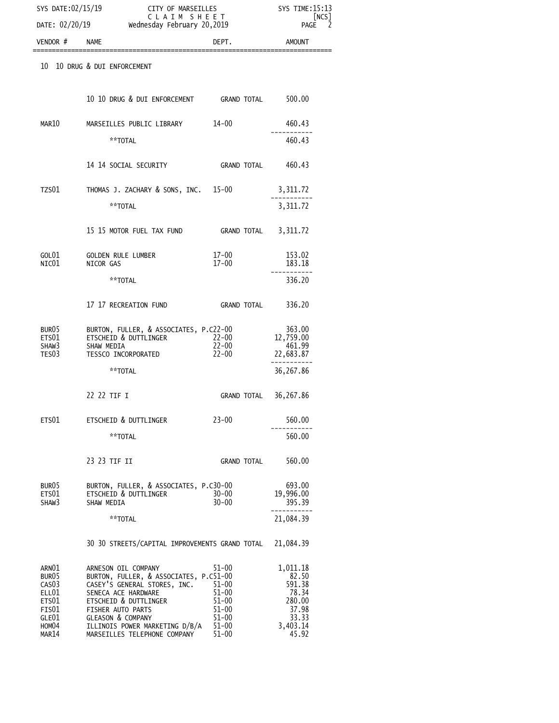| SYS DATE:02/15/19                                                                                     |                                                                                                                                                                                                                                                                      | CITY OF MARSEILLES<br>CLAIM SHEET                                                                    |                                                                                       |  |
|-------------------------------------------------------------------------------------------------------|----------------------------------------------------------------------------------------------------------------------------------------------------------------------------------------------------------------------------------------------------------------------|------------------------------------------------------------------------------------------------------|---------------------------------------------------------------------------------------|--|
| DATE: 02/20/19                                                                                        | Wednesday February 20,2019                                                                                                                                                                                                                                           |                                                                                                      | NCS <br>PAGE                                                                          |  |
| VENDOR #                                                                                              | <b>NAME</b>                                                                                                                                                                                                                                                          | DEPT.                                                                                                | <b>AMOUNT</b>                                                                         |  |
| 10                                                                                                    | 10 DRUG & DUI ENFORCEMENT                                                                                                                                                                                                                                            |                                                                                                      |                                                                                       |  |
|                                                                                                       | 10 10 DRUG & DUI ENFORCEMENT GRAND TOTAL                                                                                                                                                                                                                             |                                                                                                      | 500.00                                                                                |  |
| MAR10                                                                                                 | MARSEILLES PUBLIC LIBRARY                                                                                                                                                                                                                                            | $14 - 00$                                                                                            | 460.43                                                                                |  |
|                                                                                                       | **TOTAL                                                                                                                                                                                                                                                              |                                                                                                      | 460.43                                                                                |  |
|                                                                                                       | 14 14 SOCIAL SECURITY                                                                                                                                                                                                                                                | GRAND TOTAL                                                                                          | 460.43                                                                                |  |
| TZS01                                                                                                 | THOMAS J. ZACHARY & SONS, INC. 15-00                                                                                                                                                                                                                                 |                                                                                                      | 3,311.72                                                                              |  |
|                                                                                                       | **TOTAL                                                                                                                                                                                                                                                              |                                                                                                      | 3,311.72                                                                              |  |
|                                                                                                       | 15 15 MOTOR FUEL TAX FUND                                                                                                                                                                                                                                            | <b>GRAND TOTAL</b>                                                                                   | 3,311.72                                                                              |  |
| GOL01<br>NIC01                                                                                        | <b>GOLDEN RULE LUMBER</b><br>NICOR GAS                                                                                                                                                                                                                               | $17 - 00$<br>$17 - 00$                                                                               | 153.02<br>183.18                                                                      |  |
|                                                                                                       | **TOTAL                                                                                                                                                                                                                                                              |                                                                                                      | 336.20                                                                                |  |
|                                                                                                       | 17 17 RECREATION FUND                                                                                                                                                                                                                                                | <b>GRAND TOTAL</b>                                                                                   | 336.20                                                                                |  |
| BUR05<br>ETS01<br>SHAW3<br>TES03                                                                      | BURTON, FULLER, & ASSOCIATES, P.C22-00<br>ETSCHEID & DUTTLINGER<br>SHAW MEDIA<br>TESSCO INCORPORATED                                                                                                                                                                 | 22-00<br>$22 - 00$<br>$22 - 00$                                                                      | 363.00<br>12,759.00<br>461.99<br>22,683.87                                            |  |
|                                                                                                       | **TOTAL                                                                                                                                                                                                                                                              |                                                                                                      | 36,267.86                                                                             |  |
|                                                                                                       | 77 77 TTF T                                                                                                                                                                                                                                                          | GRAND TOTAL                                                                                          | 36,267.86                                                                             |  |
| ETS01                                                                                                 | ETSCHEID & DUTTLINGER                                                                                                                                                                                                                                                | $23 - 00$                                                                                            | 560.00                                                                                |  |
|                                                                                                       | **TOTAL                                                                                                                                                                                                                                                              |                                                                                                      | 560.00                                                                                |  |
|                                                                                                       | 23 23 TIF II                                                                                                                                                                                                                                                         | <b>GRAND TOTAL</b>                                                                                   | 560.00                                                                                |  |
| BUR05<br>ETS01<br>SHAW3                                                                               | BURTON, FULLER, & ASSOCIATES, P.C30-00<br>ETSCHEID & DUTTLINGER<br>SHAW MEDIA                                                                                                                                                                                        | $30 - 00$<br>$30 - 00$                                                                               | 693.00<br>19,996.00<br>395.39                                                         |  |
|                                                                                                       | **TOTAL                                                                                                                                                                                                                                                              |                                                                                                      | 21,084.39                                                                             |  |
|                                                                                                       | 30 30 STREETS/CAPITAL IMPROVEMENTS GRAND TOTAL                                                                                                                                                                                                                       |                                                                                                      | 21,084.39                                                                             |  |
| ARN01<br>BUR05<br>CAS <sub>03</sub><br>ELL01<br>ETS01<br>FIS01<br>GLE01<br>HOM <sub>04</sub><br>MAR14 | ARNESON OIL COMPANY<br>BURTON, FULLER, & ASSOCIATES, P.C51-00<br>CASEY'S GENERAL STORES, INC.<br>SENECA ACE HARDWARE<br>ETSCHEID & DUTTLINGER<br>FISHER AUTO PARTS<br><b>GLEASON &amp; COMPANY</b><br>ILLINOIS POWER MARKETING D/B/A<br>MARSEILLES TELEPHONE COMPANY | $51 - 00$<br>$51 - 00$<br>$51 - 00$<br>$51 - 00$<br>$51 - 00$<br>$51 - 00$<br>$51 - 00$<br>$51 - 00$ | 1,011.18<br>82.50<br>591.38<br>78.34<br>280.00<br>37.98<br>33.33<br>3,403.14<br>45.92 |  |